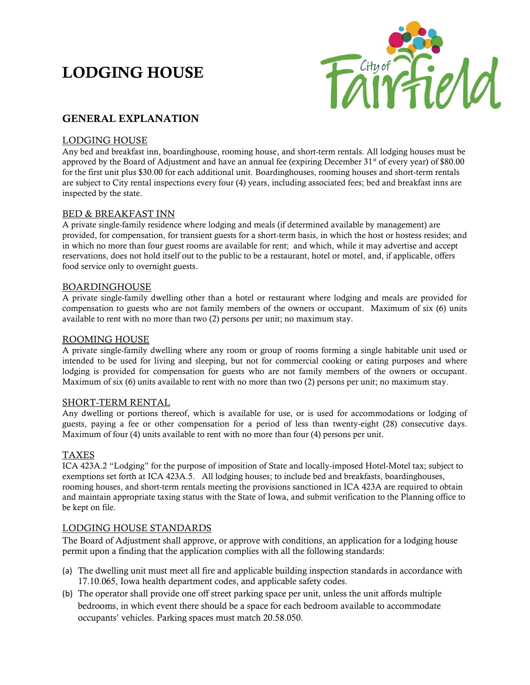# **LODGING HOUSE**



### **GENERAL EXPLANATION**

#### LODGING HOUSE

Any bed and breakfast inn, boardinghouse, rooming house, and short-term rentals. All lodging houses must be approved by the Board of Adjustment and have an annual fee (expiring December  $31<sup>st</sup>$  of every year) of \$80.00 for the first unit plus \$30.00 for each additional unit. Boardinghouses, rooming houses and short-term rentals are subject to City rental inspections every four (4) years, including associated fees; bed and breakfast inns are inspected by the state.

#### BED & BREAKFAST INN

A private single-family residence where lodging and meals (if determined available by management) are provided, for compensation, for transient guests for a short-term basis, in which the host or hostess resides; and in which no more than four guest rooms are available for rent; and which, while it may advertise and accept reservations, does not hold itself out to the public to be a restaurant, hotel or motel, and, if applicable, offers food service only to overnight guests.

#### BOARDINGHOUSE

A private single-family dwelling other than a hotel or restaurant where lodging and meals are provided for compensation to guests who are not family members of the owners or occupant. Maximum of six (6) units available to rent with no more than two (2) persons per unit; no maximum stay.

#### ROOMING HOUSE

A private single-family dwelling where any room or group of rooms forming a single habitable unit used or intended to be used for living and sleeping, but not for commercial cooking or eating purposes and where lodging is provided for compensation for guests who are not family members of the owners or occupant. Maximum of six (6) units available to rent with no more than two (2) persons per unit; no maximum stay.

#### SHORT-TERM RENTAL

Any dwelling or portions thereof, which is available for use, or is used for accommodations or lodging of guests, paying a fee or other compensation for a period of less than twenty-eight (28) consecutive days. Maximum of four (4) units available to rent with no more than four (4) persons per unit.

#### TAXES

ICA 423A.2 "Lodging" for the purpose of imposition of State and locally-imposed Hotel-Motel tax; subject to exemptions set forth at ICA 423A.5. All lodging houses; to include bed and breakfasts, boardinghouses, rooming houses, and short-term rentals meeting the provisions sanctioned in ICA 423A are required to obtain and maintain appropriate taxing status with the State of Iowa, and submit verification to the Planning office to be kept on file.

#### LODGING HOUSE STANDARDS

The Board of Adjustment shall approve, or approve with conditions, an application for a lodging house permit upon a finding that the application complies with all the following standards:

- (a) The dwelling unit must meet all fire and applicable building inspection standards in accordance with 17.10.065, Iowa health department codes, and applicable safety codes.
- (b) The operator shall provide one off street parking space per unit, unless the unit affords multiple bedrooms, in which event there should be a space for each bedroom available to accommodate occupants' vehicles. Parking spaces must match 20.58.050.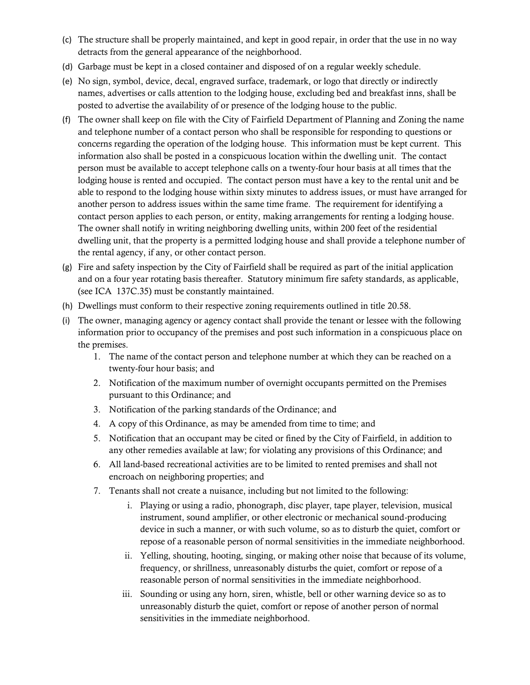- (c) The structure shall be properly maintained, and kept in good repair, in order that the use in no way detracts from the general appearance of the neighborhood.
- (d) Garbage must be kept in a closed container and disposed of on a regular weekly schedule.
- (e) No sign, symbol, device, decal, engraved surface, trademark, or logo that directly or indirectly names, advertises or calls attention to the lodging house, excluding bed and breakfast inns, shall be posted to advertise the availability of or presence of the lodging house to the public.
- (f) The owner shall keep on file with the City of Fairfield Department of Planning and Zoning the name and telephone number of a contact person who shall be responsible for responding to questions or concerns regarding the operation of the lodging house. This information must be kept current. This information also shall be posted in a conspicuous location within the dwelling unit. The contact person must be available to accept telephone calls on a twenty-four hour basis at all times that the lodging house is rented and occupied. The contact person must have a key to the rental unit and be able to respond to the lodging house within sixty minutes to address issues, or must have arranged for another person to address issues within the same time frame. The requirement for identifying a contact person applies to each person, or entity, making arrangements for renting a lodging house. The owner shall notify in writing neighboring dwelling units, within 200 feet of the residential dwelling unit, that the property is a permitted lodging house and shall provide a telephone number of the rental agency, if any, or other contact person.
- (g) Fire and safety inspection by the City of Fairfield shall be required as part of the initial application and on a four year rotating basis thereafter. Statutory minimum fire safety standards, as applicable, (see ICA 137C.35) must be constantly maintained.
- (h) Dwellings must conform to their respective zoning requirements outlined in title 20.58.
- (i) The owner, managing agency or agency contact shall provide the tenant or lessee with the following information prior to occupancy of the premises and post such information in a conspicuous place on the premises.
	- 1. The name of the contact person and telephone number at which they can be reached on a twenty-four hour basis; and
	- 2. Notification of the maximum number of overnight occupants permitted on the Premises pursuant to this Ordinance; and
	- 3. Notification of the parking standards of the Ordinance; and
	- 4. A copy of this Ordinance, as may be amended from time to time; and
	- 5. Notification that an occupant may be cited or fined by the City of Fairfield, in addition to any other remedies available at law; for violating any provisions of this Ordinance; and
	- 6. All land-based recreational activities are to be limited to rented premises and shall not encroach on neighboring properties; and
	- 7. Tenants shall not create a nuisance, including but not limited to the following:
		- i. Playing or using a radio, phonograph, disc player, tape player, television, musical instrument, sound amplifier, or other electronic or mechanical sound-producing device in such a manner, or with such volume, so as to disturb the quiet, comfort or repose of a reasonable person of normal sensitivities in the immediate neighborhood.
		- ii. Yelling, shouting, hooting, singing, or making other noise that because of its volume, frequency, or shrillness, unreasonably disturbs the quiet, comfort or repose of a reasonable person of normal sensitivities in the immediate neighborhood.
		- iii. Sounding or using any horn, siren, whistle, bell or other warning device so as to unreasonably disturb the quiet, comfort or repose of another person of normal sensitivities in the immediate neighborhood.